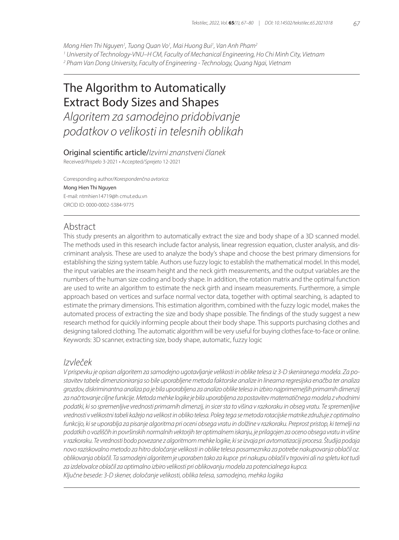*Mong Hien Thi Nguyen1 , Tuong Quan Vo1 , Mai Huong Bui1 , Van Anh Pham2*

*1 University of Technology-VNU–H CM, Faculty of Mechanical Engineering, Ho Chi Minh City, Vietnam*

*2 Pham Van Dong University, Faculty of Engineering - Technology, Quang Ngai, Vietnam*

# The Algorithm to Automatically Extract Body Sizes and Shapes

*Algoritem za samodejno pridobivanje podatkov o velikosti in telesnih oblikah*

### Original scientific article/*Izvirni znanstveni članek*

Received/*Prispelo* 3-2021 • Accepted/*Sprejeto* 12-2021

Corresponding author/*Korespondenčna avtorica:* Mong Hien Thi Nguyen E-mail: ntmhien14719@h cmut.edu.vn ORCID ID: 0000-0002-5384-9775

# Abstract

This study presents an algorithm to automatically extract the size and body shape of a 3D scanned model. The methods used in this research include factor analysis, linear regression equation, cluster analysis, and discriminant analysis. These are used to analyze the body's shape and choose the best primary dimensions for establishing the sizing system table. Authors use fuzzy logic to establish the mathematical model. In this model, the input variables are the inseam height and the neck girth measurements, and the output variables are the numbers of the human size coding and body shape. In addition, the rotation matrix and the optimal function are used to write an algorithm to estimate the neck girth and inseam measurements. Furthermore, a simple approach based on vertices and surface normal vector data, together with optimal searching, is adapted to estimate the primary dimensions. This estimation algorithm, combined with the fuzzy logic model, makes the automated process of extracting the size and body shape possible. The findings of the study suggest a new research method for quickly informing people about their body shape. This supports purchasing clothes and designing tailored clothing. The automatic algorithm will be very useful for buying clothes face-to-face or online. Keywords: 3D scanner, extracting size, body shape, automatic, fuzzy logic

## *Izvleček*

*V prispevku je opisan algoritem za samodejno ugotavljanje velikosti in oblike telesa iz 3-D skeniranega modela. Za postavitev tabele dimenzioniranja so bile uporabljene metoda faktorske analize in linearna regresijska enačba ter analiza grozdov, diskriminantna analiza pa je bila uporabljena za analizo oblike telesa in izbiro najprimernejših primarnih dimenzij za načrtovanje ciljne funkcije. Metoda mehke logike je bila uporabljena za postavitev matematičnega modela z vhodnimi podatki, ki so spremenljive vrednosti primarnih dimenzij, in sicer sta to višina v razkoraku in obseg vratu. Te spremenljive vrednosti v velikostni tabeli kažejo na velikost in obliko telesa. Poleg tega se metoda rotacijske matrike združuje z optimalno funkcijo, ki se uporablja za pisanje algoritma pri oceni obsega vratu in dolžine v razkoraku. Preprost pristop, ki temelji na podatkih o vozliščih in površinskih normalnih vektorjih ter optimalnem iskanju, je prilagojen za oceno obsega vratu in višine v razkoraku. Te vrednosti bodo povezane z algoritmom mehke logike, ki se izvaja pri avtomatizaciji procesa. Študija podaja novo raziskovalno metodo za hitro določanje velikosti in oblike telesa posameznika za potrebe nakupovanja oblačil oz. oblikovanja oblačil. Ta samodejni algoritem je uporaben tako za kupce pri nakupu oblačil v trgovini ali na spletu kot tudi za izdelovalce oblačil za optimalno izbiro velikosti pri oblikovanju modela za potencialnega kupca. Ključne besede: 3-D skener, določanje velikosti, oblika telesa, samodejno, mehka logika*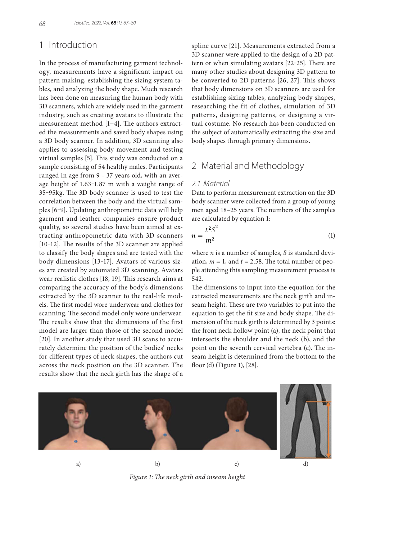# 1 Introduction

In the process of manufacturing garment technology, measurements have a significant impact on pattern making, establishing the sizing system tables, and analyzing the body shape. Much research has been done on measuring the human body with 3D scanners, which are widely used in the garment industry, such as creating avatars to illustrate the measurement method [1−4]. The authors extracted the measurements and saved body shapes using a 3D body scanner. In addition, 3D scanning also applies to assessing body movement and testing virtual samples [5]. This study was conducted on a sample consisting of 54 healthy males. Participants ranged in age from 9 - 37 years old, with an average height of 1.63-1.87 m with a weight range of 35‒95kg. The 3D body scanner is used to test the correlation between the body and the virtual samples [6‒9]. Updating anthropometric data will help garment and leather companies ensure product quality, so several studies have been aimed at extracting anthropometric data with 3D scanners [10-12]. The results of the 3D scanner are applied to classify the body shapes and are tested with the body dimensions [13-17]. Avatars of various sizes are created by automated 3D scanning. Avatars wear realistic clothes [18, 19]. This research aims at comparing the accuracy of the body's dimensions extracted by the 3D scanner to the real-life models. The first model wore underwear and clothes for scanning. The second model only wore underwear. The results show that the dimensions of the first model are larger than those of the second model [20]. In another study that used 3D scans to accurately determine the position of the bodies' necks for different types of neck shapes, the authors cut across the neck position on the 3D scanner. The results show that the neck girth has the shape of a

spline curve [21]. Measurements extracted from a 3D scanner were applied to the design of a 2D pattern or when simulating avatars [22-25]. There are many other studies about designing 3D pattern to be converted to 2D patterns [26, 27]. This shows that body dimensions on 3D scanners are used for establishing sizing tables, analyzing body shapes, researching the fit of clothes, simulation of 3D patterns, designing patterns, or designing a virtual costume. No research has been conducted on the subject of automatically extracting the size and body shapes through primary dimensions.

# 2 Material and Methodology

### *2.1 Material*

Data to perform measurement extraction on the 3D body scanner were collected from a group of young men aged 18−25 years. The numbers of the samples are calculated by equation 1:

$$
n = \frac{t^2 S^2}{m^2} \tag{1}
$$

where *n* is a number of samples, *S* is standard deviation,  $m = 1$ , and  $t = 2.58$ . The total number of people attending this sampling measurement process is 542.

The dimensions to input into the equation for the extracted measurements are the neck girth and inseam height. These are two variables to put into the equation to get the fit size and body shape. The dimension of the neck girth is determined by 3 points: the front neck hollow point (a), the neck point that intersects the shoulder and the neck (b), and the point on the seventh cervical vertebra (c). The inseam height is determined from the bottom to the floor (d) (Figure 1), [28].



*Figure 1: The neck girth and inseam height*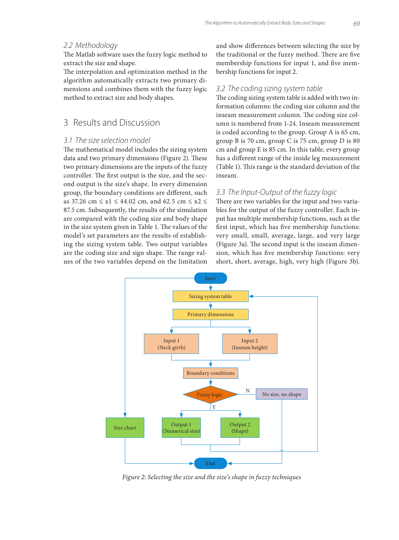### *2.2 Methodology*

The Matlab software uses the fuzzy logic method to extract the size and shape.

The interpolation and optimization method in the algorithm automatically extracts two primary dimensions and combines them with the fuzzy logic method to extract size and body shapes.

# 3 Results and Discussion

#### *3.1 The size selection model*

The mathematical model includes the sizing system data and two primary dimensions (Figure 2). These two primary dimensions are the inputs of the fuzzy controller. The first output is the size, and the second output is the size's shape. In every dimension group, the boundary conditions are different, such as 37.26 cm ≤ x1 ≤ 44.02 cm, and 62.5 cm ≤ x2 ≤ 87.5 cm. Subsequently, the results of the simulation are compared with the coding size and body shape in the size system given in Table 1. The values of the model's set parameters are the results of establishing the sizing system table. Two output variables are the coding size and sign shape. The range values of the two variables depend on the limitation and show differences between selecting the size by the traditional or the fuzzy method. There are five membership functions for input 1, and five membership functions for input 2.

#### *3.2 The coding sizing system table*

The coding sizing system table is added with two information columns: the coding size column and the inseam measurement column. The coding size column is numbered from 1-24. Inseam measurement is coded according to the group. Group A is 65 cm, group B is 70 cm, group C is 75 cm, group D is 80 cm and group E is 85 cm. In this table, every group has a different range of the inside leg measurement (Table 1). This range is the standard deviation of the inseam.

#### *3.3 The Input-Output of the fuzzy logic*

There are two variables for the input and two variables for the output of the fuzzy controller. Each input has multiple membership functions, such as the first input, which has five membership functions: very small, small, average, large, and very large (Figure 3a). The second input is the inseam dimension, which has five membership functions: very short, short, average, high, very high (Figure 3b).



*Figure 2: Selecting the size and the size's shape in fuzzy techniques*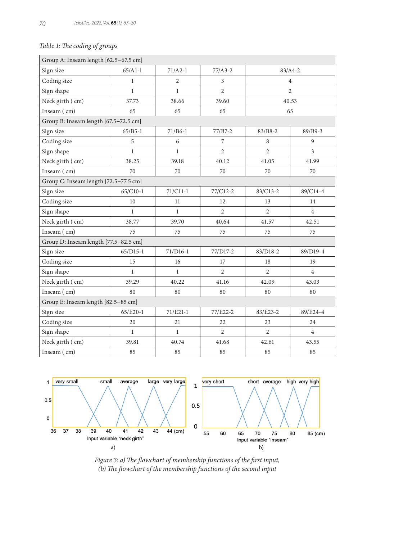# *Table 1: The coding of groups*

| Group A: Inseam length [62.5-67.5 cm] |              |                |                |                |                |  |  |  |
|---------------------------------------|--------------|----------------|----------------|----------------|----------------|--|--|--|
| Sign size                             | $65/A1-1$    | $71/A2-1$      | $77/A3-2$      | $83/A4 - 2$    |                |  |  |  |
| Coding size                           | $\mathbf{1}$ | $\overline{2}$ | 3              | $\overline{4}$ |                |  |  |  |
| Sign shape                            | $\mathbf{1}$ | $\mathbf{1}$   | $\overline{2}$ | 2              |                |  |  |  |
| Neck girth (cm)                       | 37.73        | 38.66          | 39.60          | 40.53          |                |  |  |  |
| Inseam (cm)                           | 65           | 65             | 65             | 65             |                |  |  |  |
| Group B: Inseam length [67.5-72.5 cm] |              |                |                |                |                |  |  |  |
| Sign size                             | $65/B5-1$    | $71/B6-1$      | 77/B7-2        | $83/B8-2$      | 89/B9-3        |  |  |  |
| Coding size                           | 5            | 6              | 7              | 8              | 9              |  |  |  |
| Sign shape                            | $\mathbf{1}$ | $\mathbf{1}$   | $\overline{c}$ | $\overline{2}$ | $\overline{3}$ |  |  |  |
| Neck girth (cm)                       | 38.25        | 39.18          | 40.12          | 41.05          | 41.99          |  |  |  |
| Inseam (cm)                           | 70           | 70             | 70             | 70             | 70             |  |  |  |
| Group C: Inseam length [72.5-77.5 cm] |              |                |                |                |                |  |  |  |
| Sign size                             | 65/C10-1     | 71/C11-1       | 77/C12-2       | 83/C13-2       | 89/C14-4       |  |  |  |
| Coding size                           | 10           | 11             | 12             | 13             | 14             |  |  |  |
| Sign shape                            | $\mathbf{1}$ | $\mathbf{1}$   | $\overline{2}$ | $\overline{2}$ | $\overline{4}$ |  |  |  |
| Neck girth (cm)                       | 38.77        | 39.70          | 40.64          | 41.57          | 42.51          |  |  |  |
| Inseam (cm)                           | 75           | 75             | 75             | 75             | 75             |  |  |  |
| Group D: Inseam length [77.5-82.5 cm] |              |                |                |                |                |  |  |  |
| Sign size                             | $65/D15-1$   | $71/D16-1$     | 77/D17-2       | 83/D18-2       | 89/D19-4       |  |  |  |
| Coding size                           | 15           | 16             | 17             | 18             | 19             |  |  |  |
| Sign shape                            | $\mathbf{1}$ | $\mathbf{1}$   | $\overline{2}$ | $\overline{c}$ | $\overline{4}$ |  |  |  |
| Neck girth (cm)                       | 39.29        | 40.22          | 41.16          | 42.09          | 43.03          |  |  |  |
| Inseam (cm)                           | 80           | 80             | 80             | 80             | 80             |  |  |  |
| Group E: Inseam length [82.5-85 cm]   |              |                |                |                |                |  |  |  |
| Sign size                             | $65/E20-1$   | $71/E21-1$     | 77/E22-2       | $83/E23-2$     | 89/E24-4       |  |  |  |
| Coding size                           | 20           | 21             | 22             | 23             | 24             |  |  |  |
| Sign shape                            | $\mathbf{1}$ | $\mathbf{1}$   | $\overline{2}$ | 2              | $\overline{4}$ |  |  |  |
| Neck girth (cm)                       | 39.81        | 40.74          | 41.68          | 42.61          | 43.55          |  |  |  |
| Inseam $(m)$                          | 85           | 85             | 85             | 85             | 85             |  |  |  |



*Figure 3: a) The flowchart of membership functions of the first input, (b) The flowchart of the membership functions of the second input*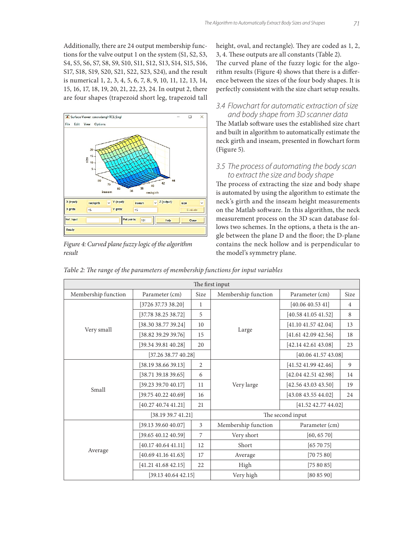Additionally, there are 24 output membership functions for the valve output 1 on the system (S1, S2, S3, S4, S5, S6, S7, S8, S9, S10, S11, S12, S13, S14, S15, S16, S17, S18, S19, S20, S21, S22, S23, S24), and the result is numerical 1, 2, 3, 4, 5, 6, 7, 8, 9, 10, 11, 12, 13, 14, 15, 16, 17, 18, 19, 20, 21, 22, 23, 24. In output 2, there are four shapes (trapezoid short leg, trapezoid tall



*Figure 4: Curved plane fuzzy logic of the algorithm result*

height, oval, and rectangle). They are coded as 1, 2, 3, 4. These outputs are all constants (Table 2). The curved plane of the fuzzy logic for the algorithm results (Figure 4) shows that there is a difference between the sizes of the four body shapes. It is perfectly consistent with the size chart setup results.

### *3.4 Flowchart for automatic extraction of size and body shape from 3D scanner data*

The Matlab software uses the established size chart and built in algorithm to automatically estimate the neck girth and inseam, presented in flowchart form (Figure 5).

### *3.5 The process of automating the body scan to extract the size and body shape*

The process of extracting the size and body shape is automated by using the algorithm to estimate the neck's girth and the inseam height measurements on the Matlab software. In this algorithm, the neck measurement process on the 3D scan database follows two schemes. In the options, a theta is the angle between the plane D and the floor; the D-plane contains the neck hollow and is perpendicular to the model's symmetry plane.

*Table 2: The range of the parameters of membership functions for input variables*

| The first input     |                             |              |                     |                                                                                                                                                                            |                |  |
|---------------------|-----------------------------|--------------|---------------------|----------------------------------------------------------------------------------------------------------------------------------------------------------------------------|----------------|--|
| Membership function | Parameter (cm)              | Size         | Membership function | Parameter (cm)                                                                                                                                                             | Size           |  |
| Very small          | [3726 37.73 38.20]          | $\mathbf{1}$ |                     | [40.06 40.53 41]                                                                                                                                                           | $\overline{4}$ |  |
|                     | [37.78 38.25 38.72]         | 5            |                     | [40.5841.0541.52]                                                                                                                                                          | 8              |  |
|                     | [38.30 38.77 39.24]         | 10           |                     | [41.10 41.57 42.04]                                                                                                                                                        | 13             |  |
|                     | [38.82 39.29 39.76]         | 15           | Large               | [41.61 42.09 42.56]                                                                                                                                                        | 18             |  |
|                     | [39.34 39.81 40.28]         | 20           |                     | $[42.14 \, 42.61 \, 43.08]$                                                                                                                                                | 23             |  |
|                     | [37.26 38.77 40.28]         |              |                     | [41.52 41.99 42.46]<br>[42.04 42.51 42.98]<br>[42.5643.0343.50]<br>[43.0843.5544.02]<br>The second input<br>[60, 65, 70]<br>[657075]<br>[707580]<br>[758085]<br>[80 85 90] |                |  |
| Small               | [38.19 38.66 39.13]         | 2            |                     |                                                                                                                                                                            | 9              |  |
|                     | $[38.71 \, 39.18 \, 39.65]$ | 6            |                     |                                                                                                                                                                            | 14             |  |
|                     | $[39.23\ 39.70\ 40.17]$     | 11           | Very large          |                                                                                                                                                                            | 19             |  |
|                     | [39.7540.2240.69]           | 16           |                     |                                                                                                                                                                            | 24             |  |
|                     | [40.27 40.74 41.21]         | 21           |                     | [41.52 42.77 44.02]                                                                                                                                                        |                |  |
|                     | [38.19 39.7 41.21]          |              |                     | [40.0641.5743.08]                                                                                                                                                          |                |  |
|                     | [39.13 39.60 40.07]         | 3            | Membership function | Parameter (cm)                                                                                                                                                             |                |  |
| Average             | [39.6540.1240.59]           | 7            | Very short          |                                                                                                                                                                            |                |  |
|                     | [40.17 40.64 41.11]         | 12           | Short               |                                                                                                                                                                            |                |  |
|                     | [40.69 41.16 41.63]         | 17           | Average             |                                                                                                                                                                            |                |  |
|                     | $[41.21 \; 41.68 \; 42.15]$ | 22           | High                |                                                                                                                                                                            |                |  |
|                     | $[39.13 \, 40.64 \, 42.15]$ |              | Very high           |                                                                                                                                                                            |                |  |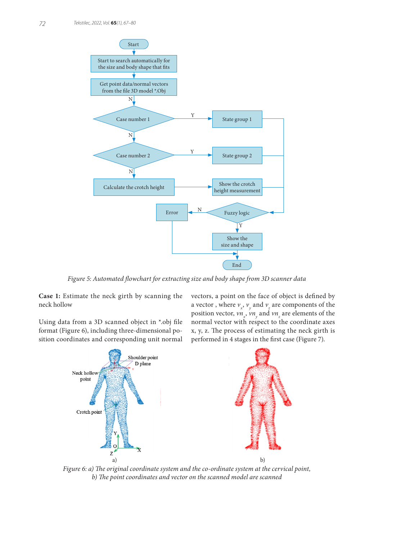

*Figure 5: Automated flowchart for extracting size and body shape from 3D scanner data*

**Case 1:** Estimate the neck girth by scanning the neck hollow

Using data from a 3D scanned object in \*.obj file format (Figure 6), including three-dimensional position coordinates and corresponding unit normal vectors, a point on the face of object is defined by a vector, where  $v_x$ ,  $v_y$  and  $v_z$  are components of the position vector,  $vn_x$ ,  $vn_y$  and  $vn_z$  are elements of the normal vector with respect to the coordinate axes x, y, z. The process of estimating the neck girth is performed in 4 stages in the first case (Figure 7).



*Figure 6: a) The original coordinate system and the co-ordinate system at the cervical point, b) The point coordinates and vector on the scanned model are scanned*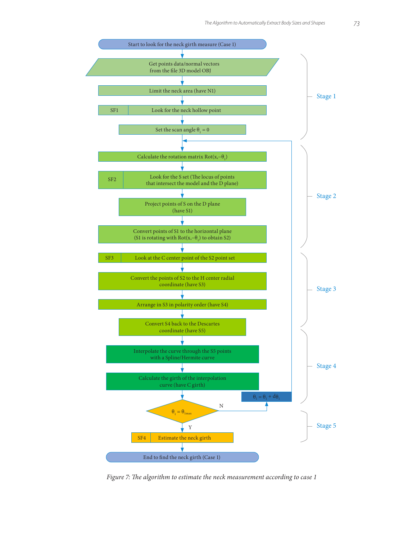

*Figure 7: The algorithm to estimate the neck measurement according to case 1*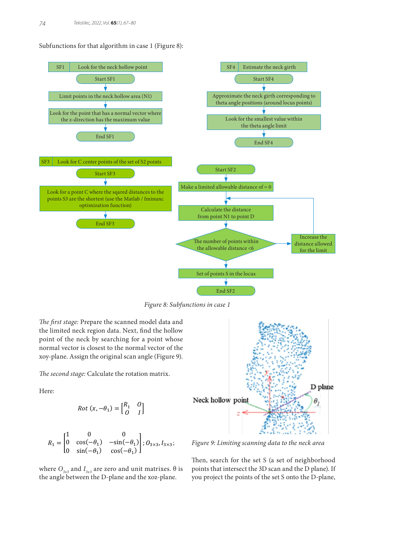Subfunctions for that algorithm in case 1 (Figure 8):



*Figure 8: Subfunctions in case 1*

*The first stage:* Prepare the scanned model data and the limited neck region data. Next, find the hollow point of the neck by searching for a point whose normal vector is closest to the normal vector of the xoy-plane. Assign the original scan angle (Figure 9).

*The second stage:* Calculate the rotation matrix.

Here:

$$
Rot(x, -\theta_1) = \begin{bmatrix} R_1 & 0 \\ 0 & I \end{bmatrix}
$$

$$
R_1 = \begin{bmatrix} 1 & 0 & 0 \\ 0 & \cos(-\theta_1) & -\sin(-\theta_1) \\ 0 & \sin(-\theta_1) & \cos(-\theta_1) \end{bmatrix}; O_{3 \times 3}, I_{3 \times 3};
$$

where  $O_{3x3}$  and  $I_{3x3}$  are zero and unit matrixes. θ is the angle between the D-plane and the xoz-plane.



*Figure 9: Limiting scanning data to the neck area*

Then, search for the set S (a set of neighborhood points that intersect the 3D scan and the D plane). If you project the points of the set S onto the D-plane,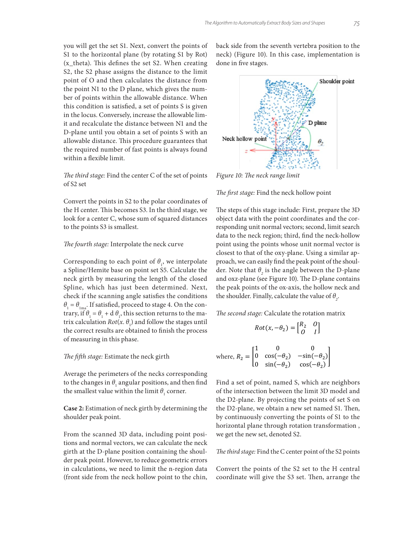you will get the set S1. Next, convert the points of S1 to the horizontal plane (by rotating S1 by Rot) (x\_theta). This defines the set S2. When creating S2, the S2 phase assigns the distance to the limit point of O and then calculates the distance from the point N1 to the D plane, which gives the number of points within the allowable distance. When this condition is satisfied, a set of points S is given in the locus. Conversely, increase the allowable limit and recalculate the distance between N1 and the D-plane until you obtain a set of points S with an allowable distance. This procedure guarantees that the required number of fast points is always found within a flexible limit.

### *The third stage:* Find the center C of the set of points of S2 set

Convert the points in S2 to the polar coordinates of the H center. This becomes S3. In the third stage, we look for a center C, whose sum of squared distances to the points S3 is smallest.

#### *The fourth stage:* Interpolate the neck curve

Corresponding to each point of  $\theta_1$ , we interpolate a Spline/Hemite base on point set S5. Calculate the neck girth by measuring the length of the closed Spline, which has just been determined. Next, check if the scanning angle satisfies the conditions  $\theta_{\rm l} = \theta_{\rm 1ma}$ . If satisfied, proceed to stage 4. On the contrary, if  $\theta_1 = \theta_1 + d \theta_1$ , this section returns to the matrix calculation  $Rot(x, \theta_1)$  and follow the stages until the correct results are obtained to finish the process of measuring in this phase.

#### *The fifth stage:* Estimate the neck girth

Average the perimeters of the necks corresponding to the changes in  $\theta_1$  angular positions, and then find the smallest value within the limit  $\theta_{_1}$  corner.

**Case 2:** Estimation of neck girth by determining the shoulder peak point.

From the scanned 3D data, including point positions and normal vectors, we can calculate the neck girth at the D-plane position containing the shoulder peak point. However, to reduce geometric errors in calculations, we need to limit the n-region data (front side from the neck hollow point to the chin,

back side from the seventh vertebra position to the neck) (Figure 10). In this case, implementation is done in five stages.



*Figure 10: The neck range limit*

*The first stage:* Find the neck hollow point

The steps of this stage include: First, prepare the 3D object data with the point coordinates and the corresponding unit normal vectors; second, limit search data to the neck region; third, find the neck-hollow point using the points whose unit normal vector is closest to that of the oxy-plane. Using a similar approach, we can easily find the peak point of the shoulder. Note that  $\theta_2$  is the angle between the D-plane and oxz-plane (see Figure 10). The D-plane contains the peak points of the ox-axis, the hollow neck and the shoulder. Finally, calculate the value of  $\theta$ <sub>2</sub>.

*The second stage:* Calculate the rotation matrix

$$
Rot(x, -\theta_2) = \begin{bmatrix} R_2 & 0 \\ 0 & I \end{bmatrix}
$$
  
where,  $R_2 = \begin{bmatrix} 1 & 0 & 0 \\ 0 & \cos(-\theta_2) & -\sin(-\theta_2) \\ 0 & \sin(-\theta_2) & \cos(-\theta_2) \end{bmatrix}$ 

Find a set of point, named S, which are neighbors of the intersection between the limit 3D model and the D2-plane. By projecting the points of set S on the D2-plane, we obtain a new set named S1. Then, by continuously converting the points of S1 to the horizontal plane through rotation transformation , we get the new set, denoted S2.

*The third stage:* Find the C center point of the S2 points

Convert the points of the S2 set to the H central coordinate will give the S3 set. Then, arrange the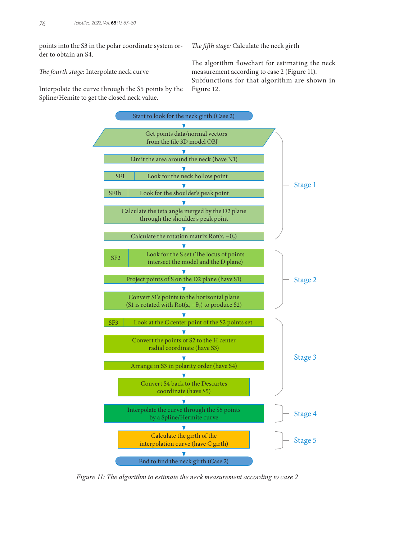points into the S3 in the polar coordinate system order to obtain an S4.

Interpolate the curve through the S5 points by the

*The fourth stage:* Interpolate neck curve

Spline/Hemite to get the closed neck value.

*The fifth stage:* Calculate the neck girth

The algorithm flowchart for estimating the neck measurement according to case 2 (Figure 11). Subfunctions for that algorithm are shown in Figure 12.



*Figure 11: The algorithm to estimate the neck measurement according to case 2*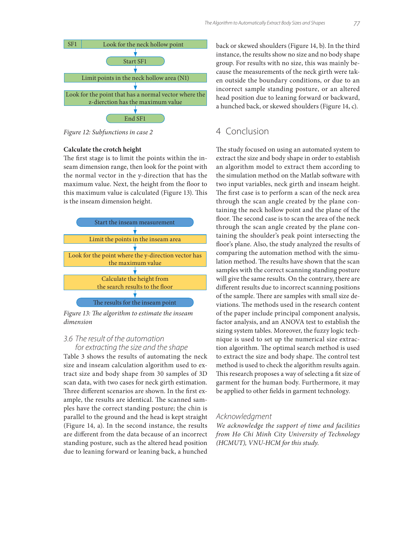

*Figure 12: Subfunctions in case 2*

#### **Calculate the crotch height**

The first stage is to limit the points within the inseam dimension range, then look for the point with the normal vector in the y-direction that has the maximum value. Next, the height from the floor to this maximum value is calculated (Figure 13). This is the inseam dimension height.



*Figure 13: The algorithm to estimate the inseam dimension*

### *3.6 The result of the automation for extracting the size and the shape*

Table 3 shows the results of automating the neck size and inseam calculation algorithm used to extract size and body shape from 30 samples of 3D scan data, with two cases for neck girth estimation. Three different scenarios are shown. In the first example, the results are identical. The scanned samples have the correct standing posture; the chin is parallel to the ground and the head is kept straight (Figure 14, a). In the second instance, the results are different from the data because of an incorrect standing posture, such as the altered head position due to leaning forward or leaning back, a hunched

back or skewed shoulders (Figure 14, b). In the third instance, the results show no size and no body shape group. For results with no size, this was mainly because the measurements of the neck girth were taken outside the boundary conditions, or due to an incorrect sample standing posture, or an altered head position due to leaning forward or backward, a hunched back, or skewed shoulders (Figure 14, c).

# 4 Conclusion

The study focused on using an automated system to extract the size and body shape in order to establish an algorithm model to extract them according to the simulation method on the Matlab software with two input variables, neck girth and inseam height. The first case is to perform a scan of the neck area through the scan angle created by the plane containing the neck hollow point and the plane of the floor. The second case is to scan the area of the neck through the scan angle created by the plane containing the shoulder's peak point intersecting the floor's plane. Also, the study analyzed the results of comparing the automation method with the simulation method. The results have shown that the scan samples with the correct scanning standing posture will give the same results. On the contrary, there are different results due to incorrect scanning positions of the sample. There are samples with small size deviations. The methods used in the research content of the paper include principal component analysis, factor analysis, and an ANOVA test to establish the sizing system tables. Moreover, the fuzzy logic technique is used to set up the numerical size extraction algorithm. The optimal search method is used to extract the size and body shape. The control test method is used to check the algorithm results again. This research proposes a way of selecting a fit size of garment for the human body. Furthermore, it may be applied to other fields in garment technology.

### *Acknowledgment*

*We acknowledge the support of time and facilities from Ho Chi Minh City University of Technology (HCMUT), VNU-HCM for this study.*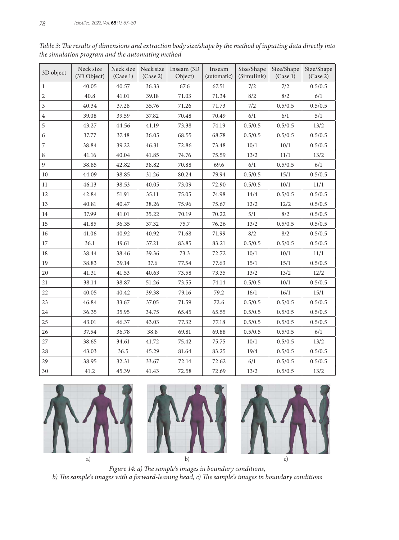| 3D object      | Neck size<br>(3D Object) | Neck size<br>(Case 1) | Neck size<br>(Case 2) | Inseam $(3D)$<br>Object) | Inseam<br>(automatic) | Size/Shape<br>(Simulink) | Size/Shape<br>(Case 1) | Size/Shape<br>(Case 2) |
|----------------|--------------------------|-----------------------|-----------------------|--------------------------|-----------------------|--------------------------|------------------------|------------------------|
| $\mathbf{1}$   | 40.05                    | 40.57                 | 36.33                 | 67.6                     | 67.51                 | 7/2                      | 7/2                    | 0.5/0.5                |
| $\overline{2}$ | 40.8                     | 41.01                 | 39.18                 | 71.03                    | 71.34                 | 8/2                      | 8/2                    | 6/1                    |
| $\mathfrak{Z}$ | 40.34                    | 37.28                 | 35.76                 | 71.26                    | 71.73                 | 7/2                      | 0.5/0.5                | 0.5/0.5                |
| 4              | 39.08                    | 39.59                 | 37.82                 | 70.48                    | 70.49                 | 6/1                      | 6/1                    | 5/1                    |
| 5              | 43.27                    | 44.56                 | 41.19                 | 73.38                    | 74.19                 | 0.5/0.5                  | 0.5/0.5                | 13/2                   |
| 6              | 37.77                    | 37.48                 | 36.05                 | 68.55                    | 68.78                 | 0.5/0.5                  | 0.5/0.5                | 0.5/0.5                |
| 7              | 38.84                    | 39.22                 | 46.31                 | 72.86                    | 73.48                 | 10/1                     | 10/1                   | 0.5/0.5                |
| 8              | 41.16                    | 40.04                 | 41.85                 | 74.76                    | 75.59                 | 13/2                     | 11/1                   | 13/2                   |
| $\overline{9}$ | 38.85                    | 42.82                 | 38.82                 | 70.88                    | 69.6                  | 6/1                      | 0.5/0.5                | 6/1                    |
| 10             | 44.09                    | 38.85                 | 31.26                 | 80.24                    | 79.94                 | 0.5/0.5                  | 15/1                   | 0.5/0.5                |
| 11             | 46.13                    | 38.53                 | 40.05                 | 73.09                    | 72.90                 | 0.5/0.5                  | 10/1                   | 11/1                   |
| 12             | 42.84                    | 51.91                 | 35.11                 | 75.05                    | 74.98                 | 14/4                     | 0.5/0.5                | 0.5/0.5                |
| 13             | 40.81                    | $40.47\,$             | 38.26                 | 75.96                    | 75.67                 | 12/2                     | 12/2                   | 0.5/0.5                |
| 14             | 37.99                    | 41.01                 | 35.22                 | 70.19                    | 70.22                 | 5/1                      | 8/2                    | 0.5/0.5                |
| 15             | 41.85                    | 36.35                 | 37.32                 | 75.7                     | 76.26                 | 13/2                     | 0.5/0.5                | 0.5/0.5                |
| 16             | 41.06                    | 40.92                 | 40.92                 | 71.68                    | 71.99                 | 8/2                      | 8/2                    | 0.5/0.5                |
| 17             | 36.1                     | 49.61                 | 37.21                 | 83.85                    | 83.21                 | 0.5/0.5                  | 0.5/0.5                | 0.5/0.5                |
| 18             | 38.44                    | 38.46                 | 39.36                 | 73.3                     | 72.72                 | 10/1                     | 10/1                   | 11/1                   |
| 19             | 38.83                    | 39.14                 | 37.6                  | 77.54                    | 77.63                 | 15/1                     | 15/1                   | 0.5/0.5                |
| 20             | 41.31                    | 41.53                 | 40.63                 | 73.58                    | 73.35                 | 13/2                     | 13/2                   | 12/2                   |
| 21             | 38.14                    | 38.87                 | 51.26                 | 73.55                    | 74.14                 | 0.5/0.5                  | 10/1                   | 0.5/0.5                |
| 22             | 40.05                    | 40.42                 | 39.38                 | 79.16                    | 79.2                  | 16/1                     | 16/1                   | 15/1                   |
| 23             | 46.84                    | 33.67                 | 37.05                 | 71.59                    | 72.6                  | 0.5/0.5                  | 0.5/0.5                | 0.5/0.5                |
| 24             | 36.35                    | 35.95                 | 34.75                 | 65.45                    | 65.55                 | 0.5/0.5                  | 0.5/0.5                | 0.5/0.5                |
| 25             | 43.01                    | 46.37                 | 43.03                 | 77.32                    | 77.18                 | 0.5/0.5                  | 0.5/0.5                | 0.5/0.5                |
| 26             | 37.54                    | 36.78                 | 38.8                  | 69.81                    | 69.88                 | 0.5/0.5                  | 0.5/0.5                | 6/1                    |
| 27             | 38.65                    | 34.61                 | 41.72                 | 75.42                    | 75.75                 | 10/1                     | 0.5/0.5                | 13/2                   |
| 28             | 43.03                    | 36.5                  | 45.29                 | 81.64                    | 83.25                 | 19/4                     | 0.5/0.5                | 0.5/0.5                |
| 29             | 38.95                    | 32.31                 | 33.67                 | 72.14                    | 72.62                 | 6/1                      | 0.5/0.5                | 0.5/0.5                |
| 30             | 41.2                     | 45.39                 | 41.43                 | 72.58                    | 72.69                 | 13/2                     | 0.5/0.5                | 13/2                   |

*Table 3: The results of dimensions and extraction body size/shape by the method of inputting data directly into the simulation program and the automating method*



*Figure 14: a) The sample's images in boundary conditions, b) The sample's images with a forward-leaning head, c) The sample's images in boundary conditions*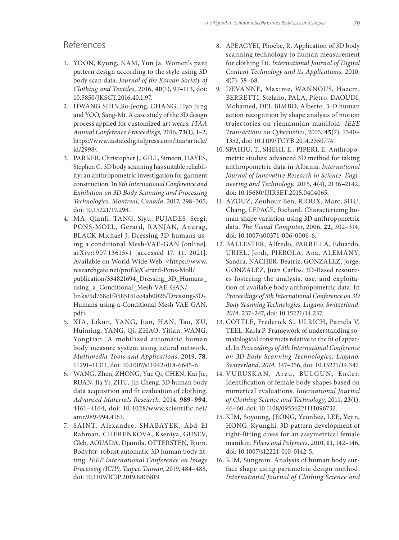# References

- 1. YOON, Kyung, NAM, Yun Ja. Women's pant pattern design according to the style using 3D body scan data. *Journal of the Korean Society of Clothing and Textiles,* 2016, **40**(1), 97**–**113, doi: 10.5850/JKSCT.2016.40.1.97.
- 2. HWANG SHIN,Su-Jeong, CHANG, Hyo Jung and YOO, Sang-Mi. A case study of the 3D design process applied for customized art wears. *ITAA Annual Conference Proceedings,* 2016, **73**(1), 1**–**2, https://www.iastatedigitalpress.com/itaa/article/ id/2998/.
- 3. PARKER, Christopher J., GILL, Simeon, HAYES, Stephen G. 3D body scanning has suitable reliability: an anthropometric investigation for garment construction. In *8th International Conference and Exhibition on 3D Body Scanning and Processing Technologies, Montreal, Canada*, 2017, 298**–**305, doi: 10.15221/17.298.
- 4. MA, Qianli, TANG, Siyu, PUJADES, Sergi, PONS-MOLL, Gerard, RANJAN, Anurag, BLACK Michael J. Dressing 3D humans using a conditional Mesh-VAE-GAN [online]. arXiv:1907.13615v1 [accessed 17. 11. 2021]. Available on World Wide Web: <https://www. researchgate.net/profile/Gerard-Pons-Moll/ publication/334821694\_Dressing\_3D\_Humans\_ using\_a\_Conditional\_Mesh-VAE-GAN/ links/5d768c1f4585151ee4ab0026/Dressing-3D-Humans-using-a-Conditional-Mesh-VAE-GAN. pdf>.
- 5. XIA, Likun, YANG, Jian, HAN, Tao, XU, Huiming, YANG, Qi, ZHAO, Yitian, WANG, Yongtian. A mobilized automatic human body measure system using neural network. *Multimedia Tools and Applications*, 2019, **78**, 11291–11311, doi: 10.1007/s11042-018-6645-6.
- 6. WANG, Zhen, ZHONG, Yue Qi, CHEN, Kai Jie, RUAN, Jia Yi, ZHU, Jin Cheng. 3D human body data acquisition and fit evaluation of clothing. *Advanced Materials Research,* 2014, **989–994**, 4161**–**4164, doi: 10.4028/www.scientific.net/ amr.989-994.4161.
- 7. SAINT, Alexandre, SHABAYEK, Abd El Rahman, CHERENKOVA, Kseniya, GUSEV, Gleb, AOUADA, Djamila, OTTERSTEN, Björn. Bodyfitr: robust automatic 3D human body fitting. *IEEE International Conference on Image Processing (ICIP), Taipei, Taiwan,* 2019, 484**–**488, doi: 10.1109/ICIP.2019.8803819.
- 8. APEAGYEI, Phoebe, R. Application of 3D body scanning technology to human measurement for clothing Fit. *International Journal of Digital Content Technology and its Applications,* 2010, **4**(7), 58**–**68.
- 9. DEVANNE, Maxime, WANNOUS, Hazem, BERRETTI, Stefano, PALA, Pietro, DAOUDI, Mohamed, DEL BIMBO, Alberto. 3-D human action recognition by shape analysis of motion trajectories on riemannian manifold. *IEEE Transactions on Cybernetics*, 2015, **45**(7), 1340**–** 1352, doi: 10.1109/TCYB.2014.2350774.
- 10. SPAHIU, T., SHEHI, E., PIPERI, E. Anthropometric studies: advanced 3D method for taking anthropometric data in Albania. *International Journal of Innovative Research in Science, Engineering and Technology*, 2015, **4**(4), 2136**–**2142, doi: 10.15680/IJIRSET.2015.0404065.
- 11. AZOUZ, Zouhour Ben, RIOUX, Marc, SHU, Chang, LEPAGE, Richard. Characterizing human shape variation using 3D anthropometric data. *The Visual Computer*, 2006, **22,** 302–314, doi: 10.1007/s00371-006-0006-6.
- 12. BALLESTER, Alfredo, PARRILLA, Eduardo, URIEL, Jordi, PIEROLA, Ana, ALEMANY, Sandra, NACHER, Beatriz, GONZALEZ, Jorge, GONZALEZ, Juan Carlos. 3D-Based resources fostering the analysis, use, and exploitation of available body anthropometric data. In *Proceedings of 5th International Conference on 3D Body Scanning Technologies, Lugano, Switzerland, 2014,* 237**–**247, doi: 10.15221/14.237.
- 13. COTTLE, Frederick S., ULRICH, Pamela V, TEEL, Karla P. Framework of understanding somatological constructs relative to the fit of apparel. In *Proceedings of 5th International Conference on 3D Body Scanning Technologies, Lugano, Switzerland, 2014,* 347**–**356, doi: 10.15221/14.347.
- 14. VURUSKAN, Arzu, BULGUN, Ender. Identification of female body shapes based on numerical evaluations. *International Journal of Clothing Science and Technology*, 2011, **23**(1), 46**–**60. doi: 10.1108/09556221111096732.
- 15. KIM, Soyoung, JEONG, Yeonhee, LEE, Yejin, HONG, Kyunghi. 3D pattern development of tight-fitting dress for an assymetrical female manikin. *Fibers and Polymers,* 2010, **11**, 142**–**146, doi: 10.1007/s12221-010-0142-5.
- 16. KIM, Sungmin. Analysis of human body surface shape using parametric design method. *International Journal of Clothing Science and*